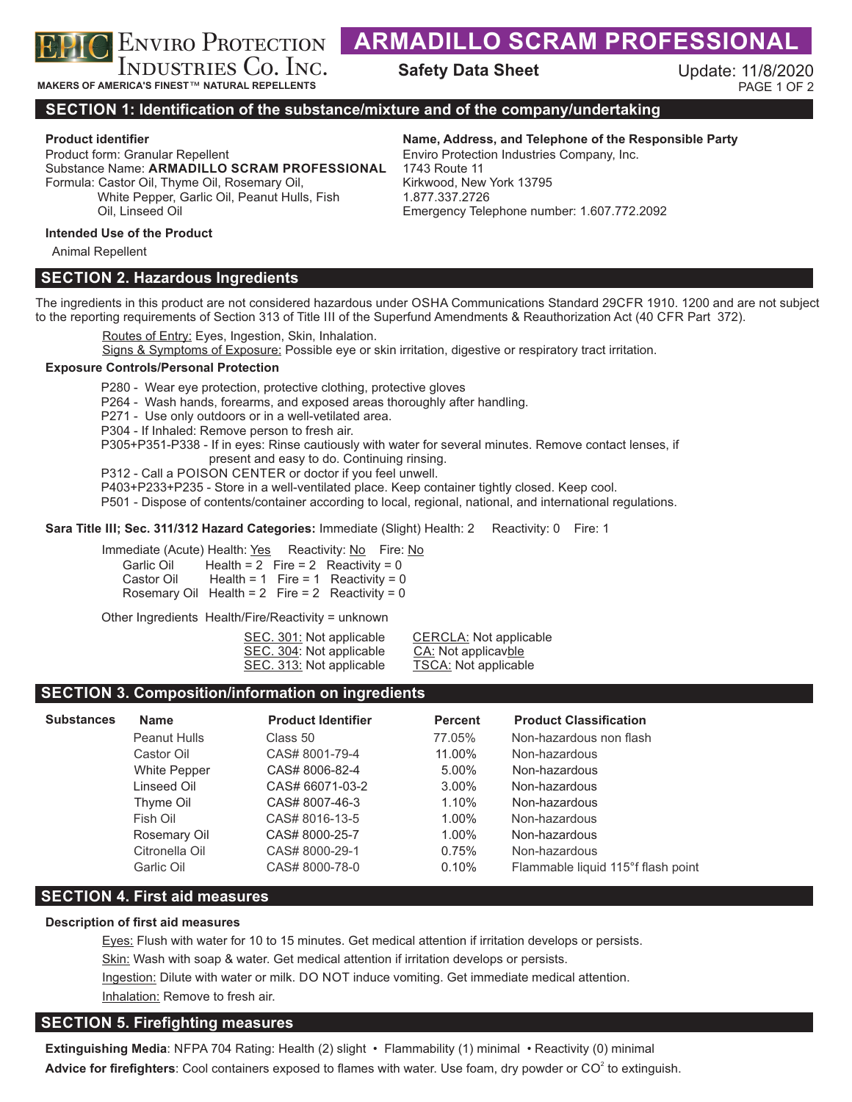

**MAKERS OF AMERICA'S FINEST**™ **NATURAL REPELLENTS**

# **ARMADILLO SCRAM PROFESSIONA**

**Safety Data Sheet** 

Update: 11/8/2020 PAGE 1 OF 2

# **SECTION 1: Identification of the substance/mixture and of the company/undertaking**

Product form: Granular Repellent Substance Name: **ARMADILLO SCRAM PROFESSIONAL** Formula: Castor Oil, Thyme Oil, Rosemary Oil, White Pepper, Garlic Oil, Peanut Hulls, Fish

# **Product identifier Name, Address, and Telephone of the Responsible Party**

Enviro Protection Industries Company, Inc. 1743 Route 11 Kirkwood, New York 13795 1.877.337.2726 Emergency Telephone number: 1.607.772.2092

### **Intended Use of the Product**

Oil, Linseed Oil

Animal Repellent

# **SECTION 2. Hazardous Ingredients**

The ingredients in this product are not considered hazardous under OSHA Communications Standard 29CFR 1910. 1200 and are not subject to the reporting requirements of Section 313 of Title III of the Superfund Amendments & Reauthorization Act (40 CFR Part 372).

Routes of Entry: Eyes, Ingestion, Skin, Inhalation.

Signs & Symptoms of Exposure: Possible eye or skin irritation, digestive or respiratory tract irritation.

#### **Exposure Controls/Personal Protection**

P280 - Wear eye protection, protective clothing, protective gloves

P264 - Wash hands, forearms, and exposed areas thoroughly after handling.

P271 - Use only outdoors or in a well-vetilated area.

P304 - If Inhaled: Remove person to fresh air.

P305+P351-P338 - If in eyes: Rinse cautiously with water for several minutes. Remove contact lenses, if present and easy to do. Continuing rinsing.

P312 - Call a POISON CENTER or doctor if you feel unwell.

P403+P233+P235 - Store in a well-ventilated place. Keep container tightly closed. Keep cool.

P501 - Dispose of contents/container according to local, regional, national, and international regulations.

**Sara Title III; Sec. 311/312 Hazard Categories: Immediate (Slight) Health: 2 Reactivity: 0 Fire: 1** 

Immediate (Acute) Health: Yes Reactivity: No Fire: No

| Garlic Oil |  | Health = $2$ Fire = $2$ Reactivity = 0          |
|------------|--|-------------------------------------------------|
| Castor Oil |  | Health = 1 Fire = 1 Reactivity = 0              |
|            |  | Rosemary Oil Health = 2 Fire = 2 Reactivity = 0 |

Other Ingredients Health/Fire/Reactivity = unknown

| SEC. 301: Not applicable |  |
|--------------------------|--|
| SEC. 304: Not applicable |  |
| SEC. 313: Not applicable |  |

CERCLA: Not applicable CA: Not applicavble TSCA: Not applicable

# **SECTION 3. Composition/information on ingredients**

| <b>Substances</b> | <b>Name</b>         | <b>Product Identifier</b> | <b>Percent</b> | <b>Product Classification</b>      |
|-------------------|---------------------|---------------------------|----------------|------------------------------------|
|                   | Peanut Hulls        | Class 50                  | 77.05%         | Non-hazardous non flash            |
|                   | Castor Oil          | CAS# 8001-79-4            | 11.00%         | Non-hazardous                      |
|                   | <b>White Pepper</b> | CAS# 8006-82-4            | 5.00%          | Non-hazardous                      |
|                   | Linseed Oil         | CAS# 66071-03-2           | $3.00\%$       | Non-hazardous                      |
|                   | Thyme Oil           | CAS# 8007-46-3            | 1.10%          | Non-hazardous                      |
|                   | Fish Oil            | CAS# 8016-13-5            | 1.00%          | Non-hazardous                      |
|                   | Rosemary Oil        | CAS# 8000-25-7            | $1.00\%$       | Non-hazardous                      |
|                   | Citronella Oil      | CAS# 8000-29-1            | 0.75%          | Non-hazardous                      |
|                   | Garlic Oil          | CAS# 8000-78-0            | 0.10%          | Flammable liquid 115°f flash point |

# **SECTION 4. First aid measures**

# **Description of first aid measures**

Eyes: Flush with water for 10 to 15 minutes. Get medical attention if irritation develops or persists. Skin: Wash with soap & water. Get medical attention if irritation develops or persists. Ingestion: Dilute with water or milk. DO NOT induce vomiting. Get immediate medical attention. Inhalation: Remove to fresh air.

# **SECTION 5. Firefighting measures**

**Extinguishing Media**: NFPA 704 Rating: Health (2) slight • Flammability (1) minimal • Reactivity (0) minimal Advice for firefighters: Cool containers exposed to flames with water. Use foam, dry powder or CO<sup>2</sup> to extinguish.